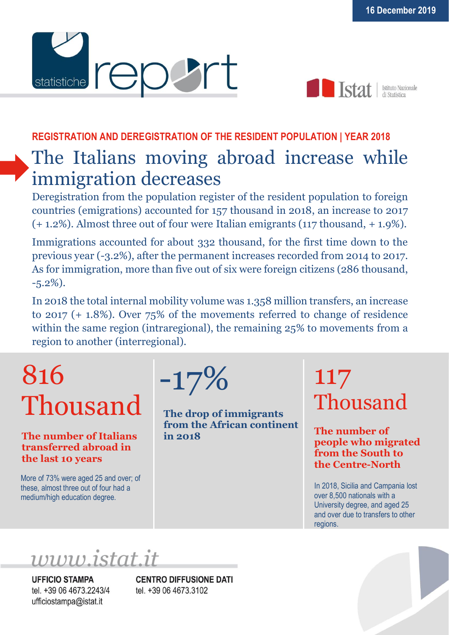



Istituto Nazionale

### **REGISTRATION AND DEREGISTRATION OF THE RESIDENT POPULATION | YEAR 2018**

## The Italians moving abroad increase while immigration decreases

Deregistration from the population register of the resident population to foreign countries (emigrations) accounted for 157 thousand in 2018, an increase to 2017 (+ 1.2%). Almost three out of four were Italian emigrants (117 thousand, + 1.9%).

Immigrations accounted for about 332 thousand, for the first time down to the previous year (-3.2%), after the permanent increases recorded from 2014 to 2017. As for immigration, more than five out of six were foreign citizens (286 thousand, -5.2%).

In 2018 the total internal mobility volume was 1.358 million transfers, an increase to 2017 (+ 1.8%). Over 75% of the movements referred to change of residence within the same region (intraregional), the remaining 25% to movements from a region to another (interregional).

# 816 Thousand

### **The number of Italians transferred abroad in the last 10 years**

More of 73% were aged 25 and over; of these, almost three out of four had a medium/high education degree.



**The drop of immigrants from the African continent in 2018**

## 117 Thousand

**The number of people who migrated from the South to the Centre-North**

In 2018, Sicilia and Campania lost over 8,500 nationals with a University degree, and aged 25 and over due to transfers to other regions.

www.istat.it

**UFFICIO STAMPA** tel. +39 06 4673.2243/4 ufficiostampa@istat.it

**CENTRO DIFFUSIONE DATI** tel. +39 06 4673.3102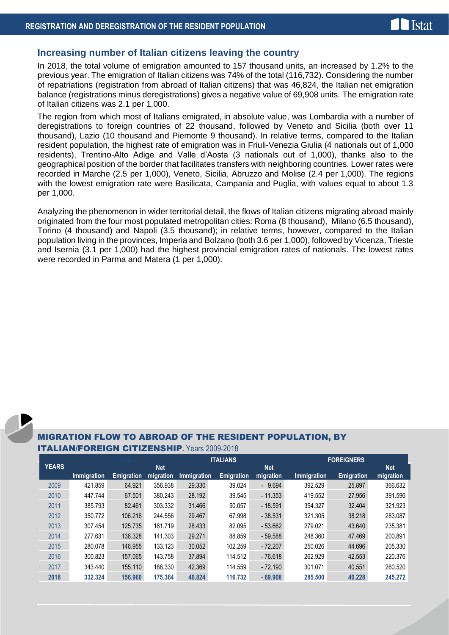#### **Increasing number of Italian citizens leaving the country**

In 2018, the total volume of emigration amounted to 157 thousand units, an increased by 1.2% to the previous year. The emigration of Italian citizens was 74% of the total (116,732). Considering the number of repatriations (registration from abroad of Italian citizens) that was 46,824, the Italian net emigration balance (registrations minus deregistrations) gives a negative value of 69,908 units. The emigration rate of Italian citizens was 2.1 per 1,000.

The region from which most of Italians emigrated, in absolute value, was Lombardia with a number of deregistrations to foreign countries of 22 thousand, followed by Veneto and Sicilia (both over 11 thousand), Lazio (10 thousand and Piemonte 9 thousand). In relative terms, compared to the Italian resident population, the highest rate of emigration was in Friuli-Venezia Giulia (4 nationals out of 1,000 residents), Trentino-Alto Adige and Valle d'Aosta (3 nationals out of 1,000), thanks also to the geographical position of the border that facilitates transfers with neighboring countries. Lower rates were recorded in Marche (2.5 per 1,000), Veneto, Sicilia, Abruzzo and Molise (2.4 per 1,000). The regions with the lowest emigration rate were Basilicata, Campania and Puglia, with values equal to about 1.3 per 1,000.

Analyzing the phenomenon in wider territorial detail, the flows of Italian citizens migrating abroad mainly originated from the four most populated metropolitan cities: Roma (8 thousand), Milano (6.5 thousand), Torino (4 thousand) and Napoli (3.5 thousand); in relative terms, however, compared to the Italian population living in the provinces, Imperia and Bolzano (both 3.6 per 1,000), followed by Vicenza, Trieste and Isernia (3.1 per 1,000) had the highest provincial emigration rates of nationals. The lowest rates were recorded in Parma and Matera (1 per 1,000).

#### MIGRATION FLOW TO ABROAD OF THE RESIDENT POPULATION, BY **ITALIAN/FORFIGN CITIZENSHIP** Years 2009-2018

|              |                    |                   |            | <b>ITALIANS</b>    |                   |            | <b>FOREIGNERS</b>  |                   |            |
|--------------|--------------------|-------------------|------------|--------------------|-------------------|------------|--------------------|-------------------|------------|
| <b>YEARS</b> |                    |                   | <b>Net</b> |                    |                   | <b>Net</b> |                    |                   | <b>Net</b> |
|              | <b>Immigration</b> | <b>Emigration</b> | migration  | <b>Immigration</b> | <b>Emigration</b> | migration  | <b>Immigration</b> | <b>Emigration</b> | migration  |
| 2009         | 421.859            | 64.921            | 356.938    | 29.330             | 39.024            | $-9.694$   | 392.529            | 25.897            | 366.632    |
| 2010         | 447.744            | 67.501            | 380.243    | 28.192             | 39.545            | $-11.353$  | 419.552            | 27.956            | 391.596    |
| 2011         | 385.793            | 82.461            | 303.332    | 31.466             | 50.057            | $-18.591$  | 354.327            | 32.404            | 321.923    |
| 2012         | 350.772            | 106.216           | 244.556    | 29.467             | 67.998            | $-38.531$  | 321.305            | 38.218            | 283.087    |
| 2013         | 307.454            | 125.735           | 181.719    | 28.433             | 82.095            | $-53.662$  | 279.021            | 43.640            | 235.381    |
| 2014         | 277.631            | 136.328           | 141.303    | 29.271             | 88.859            | $-59.588$  | 248.360            | 47.469            | 200.891    |
| 2015         | 280.078            | 146.955           | 133.123    | 30.052             | 102.259           | $-72.207$  | 250.026            | 44.696            | 205.330    |
| 2016         | 300.823            | 157.065           | 143.758    | 37.894             | 114.512           | $-76.618$  | 262.929            | 42.553            | 220.376    |
| 2017         | 343.440            | 155.110           | 188.330    | 42.369             | 114.559           | $-72.190$  | 301.071            | 40.551            | 260.520    |
| 2018         | 332.324            | 156,960           | 175,364    | 46.824             | 116.732           | $-69,908$  | 285,500            | 40.228            | 245,272    |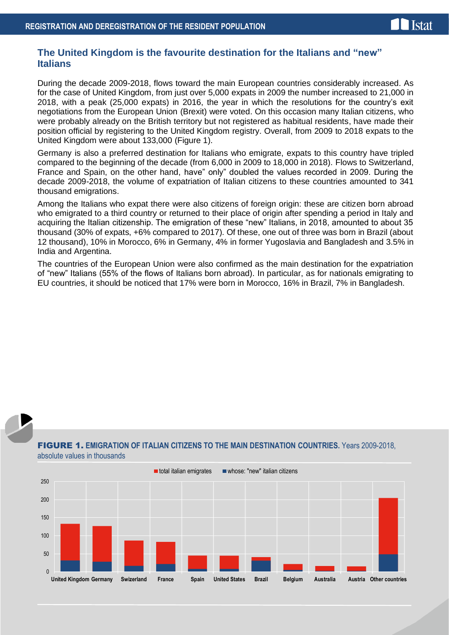#### **The United Kingdom is the favourite destination for the Italians and "new" Italians**

During the decade 2009-2018, flows toward the main European countries considerably increased. As for the case of United Kingdom, from just over 5,000 expats in 2009 the number increased to 21,000 in 2018, with a peak (25,000 expats) in 2016, the year in which the resolutions for the country's exit negotiations from the European Union (Brexit) were voted. On this occasion many Italian citizens, who were probably already on the British territory but not registered as habitual residents, have made their position official by registering to the United Kingdom registry. Overall, from 2009 to 2018 expats to the United Kingdom were about 133,000 (Figure 1).

Germany is also a preferred destination for Italians who emigrate, expats to this country have tripled compared to the beginning of the decade (from 6,000 in 2009 to 18,000 in 2018). Flows to Switzerland, France and Spain, on the other hand, have" only" doubled the values recorded in 2009. During the decade 2009-2018, the volume of expatriation of Italian citizens to these countries amounted to 341 thousand emigrations.

Among the Italians who expat there were also citizens of foreign origin: these are citizen born abroad who emigrated to a third country or returned to their place of origin after spending a period in Italy and acquiring the Italian citizenship. The emigration of these "new" Italians, in 2018, amounted to about 35 thousand (30% of expats, +6% compared to 2017). Of these, one out of three was born in Brazil (about 12 thousand), 10% in Morocco, 6% in Germany, 4% in former Yugoslavia and Bangladesh and 3.5% in India and Argentina.

The countries of the European Union were also confirmed as the main destination for the expatriation of "new" Italians (55% of the flows of Italians born abroad). In particular, as for nationals emigrating to EU countries, it should be noticed that 17% were born in Morocco, 16% in Brazil, 7% in Bangladesh.



#### FIGURE 1. **EMIGRATION OF ITALIAN CITIZENS TO THE MAIN DESTINATION COUNTRIES.** Years 2009-2018, absolute values in thousands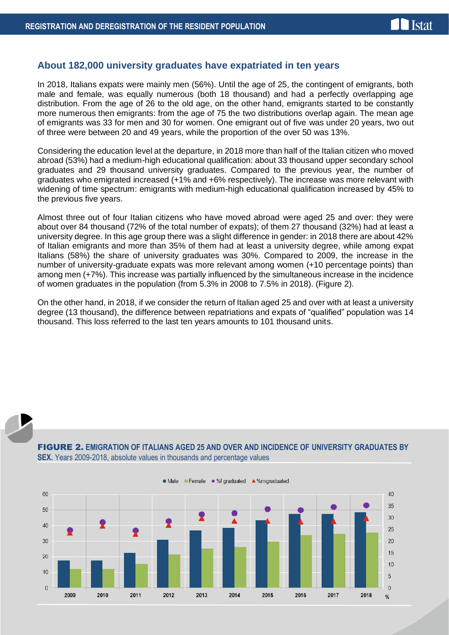#### **About 182,000 university graduates have expatriated in ten years**

In 2018, Italians expats were mainly men (56%). Until the age of 25, the contingent of emigrants, both male and female, was equally numerous (both 18 thousand) and had a perfectly overlapping age distribution. From the age of 26 to the old age, on the other hand, emigrants started to be constantly more numerous then emigrants: from the age of 75 the two distributions overlap again. The mean age of emigrants was 33 for men and 30 for women. One emigrant out of five was under 20 years, two out of three were between 20 and 49 years, while the proportion of the over 50 was 13%.

Considering the education level at the departure, in 2018 more than half of the Italian citizen who moved abroad (53%) had a medium-high educational qualification: about 33 thousand upper secondary school graduates and 29 thousand university graduates. Compared to the previous year, the number of graduates who emigrated increased (+1% and +6% respectively). The increase was more relevant with widening of time spectrum: emigrants with medium-high educational qualification increased by 45% to the previous five years.

Almost three out of four Italian citizens who have moved abroad were aged 25 and over: they were about over 84 thousand (72% of the total number of expats); of them 27 thousand (32%) had at least a university degree. In this age group there was a slight difference in gender: in 2018 there are about 42% of Italian emigrants and more than 35% of them had at least a university degree, while among expat Italians (58%) the share of university graduates was 30%. Compared to 2009, the increase in the number of university-graduate expats was more relevant among women (+10 percentage points) than among men (+7%). This increase was partially influenced by the simultaneous increase in the incidence of women graduates in the population (from 5.3% in 2008 to 7.5% in 2018). (Figure 2).

On the other hand, in 2018, if we consider the return of Italian aged 25 and over with at least a university degree (13 thousand), the difference between repatriations and expats of "qualified" population was 14 thousand. This loss referred to the last ten years amounts to 101 thousand units.



FIGURE 2. **EMIGRATION OF ITALIANS AGED 25 AND OVER AND INCIDENCE OF UNIVERSITY GRADUATES BY SEX.** Years 2009-2018, absolute values in thousands and percentage values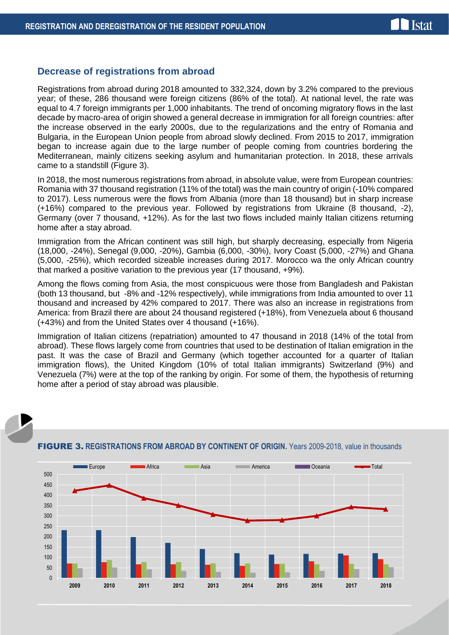#### **Decrease of registrations from abroad**

Registrations from abroad during 2018 amounted to 332,324, down by 3.2% compared to the previous year; of these, 286 thousand were foreign citizens (86% of the total). At national level, the rate was equal to 4.7 foreign immigrants per 1,000 inhabitants. The trend of oncoming migratory flows in the last decade by macro-area of origin showed a general decrease in immigration for all foreign countries: after the increase observed in the early 2000s, due to the regularizations and the entry of Romania and Bulgaria, in the European Union people from abroad slowly declined. From 2015 to 2017, immigration began to increase again due to the large number of people coming from countries bordering the Mediterranean, mainly citizens seeking asylum and humanitarian protection. In 2018, these arrivals came to a standstill (Figure 3).

In 2018, the most numerous registrations from abroad, in absolute value, were from European countries: Romania with 37 thousand registration (11% of the total) was the main country of origin (-10% compared to 2017). Less numerous were the flows from Albania (more than 18 thousand) but in sharp increase (+16%) compared to the previous year. Followed by registrations from Ukraine (8 thousand, -2), Germany (over 7 thousand, +12%). As for the last two flows included mainly Italian citizens returning home after a stay abroad.

Immigration from the African continent was still high, but sharply decreasing, especially from Nigeria (18,000, -24%), Senegal (9,000, -20%), Gambia (6,000, -30%), Ivory Coast (5,000, -27%) and Ghana (5,000, -25%), which recorded sizeable increases during 2017. Morocco wa the only African country that marked a positive variation to the previous year (17 thousand, +9%).

Among the flows coming from Asia, the most conspicuous were those from Bangladesh and Pakistan (both 13 thousand, but -8% and -12% respectively), while immigrations from India amounted to over 11 thousand and increased by 42% compared to 2017. There was also an increase in registrations from America: from Brazil there are about 24 thousand registered (+18%), from Venezuela about 6 thousand (+43%) and from the United States over 4 thousand (+16%).

Immigration of Italian citizens (repatriation) amounted to 47 thousand in 2018 (14% of the total from abroad). These flows largely come from countries that used to be destination of Italian emigration in the past. It was the case of Brazil and Germany (which together accounted for a quarter of Italian immigration flows), the United Kingdom (10% of total Italian immigrants) Switzerland (9%) and Venezuela (7%) were at the top of the ranking by origin. For some of them, the hypothesis of returning home after a period of stay abroad was plausible.



#### FIGURE 3. **REGISTRATIONS FROM ABROAD BY CONTINENT OF ORIGIN.** Years 2009-2018, value in thousands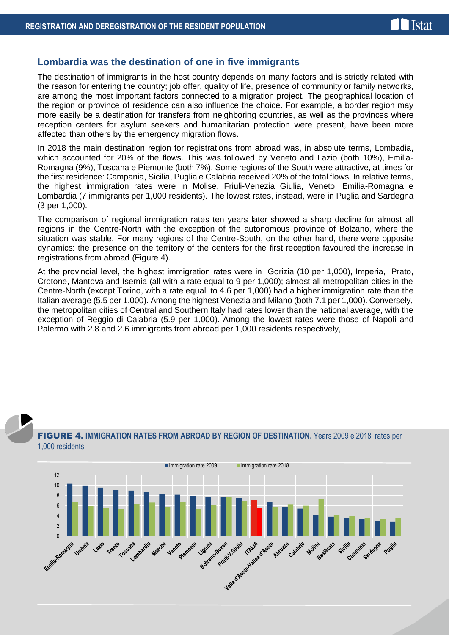#### **Lombardia was the destination of one in five immigrants**

The destination of immigrants in the host country depends on many factors and is strictly related with the reason for entering the country; job offer, quality of life, presence of community or family networks, are among the most important factors connected to a migration project. The geographical location of the region or province of residence can also influence the choice. For example, a border region may more easily be a destination for transfers from neighboring countries, as well as the provinces where reception centers for asylum seekers and humanitarian protection were present, have been more affected than others by the emergency migration flows.

In 2018 the main destination region for registrations from abroad was, in absolute terms, Lombadia, which accounted for 20% of the flows. This was followed by Veneto and Lazio (both 10%), Emilia-Romagna (9%), Toscana e Piemonte (both 7%). Some regions of the South were attractive, at times for the first residence: Campania, Sicilia, Puglia e Calabria received 20% of the total flows. In relative terms, the highest immigration rates were in Molise, Friuli-Venezia Giulia, Veneto, Emilia-Romagna e Lombardia (7 immigrants per 1,000 residents). The lowest rates, instead, were in Puglia and Sardegna (3 per 1,000).

The comparison of regional immigration rates ten years later showed a sharp decline for almost all regions in the Centre-North with the exception of the autonomous province of Bolzano, where the situation was stable. For many regions of the Centre-South, on the other hand, there were opposite dynamics: the presence on the territory of the centers for the first reception favoured the increase in registrations from abroad (Figure 4).

At the provincial level, the highest immigration rates were in Gorizia (10 per 1,000), Imperia, Prato, Crotone, Mantova and Isernia (all with a rate equal to 9 per 1,000); almost all metropolitan cities in the Centre-North (except Torino, with a rate equal to 4.6 per 1,000) had a higher immigration rate than the Italian average (5.5 per 1,000). Among the highest Venezia and Milano (both 7.1 per 1,000). Conversely, the metropolitan cities of Central and Southern Italy had rates lower than the national average, with the exception of Reggio di Calabria (5.9 per 1,000). Among the lowest rates were those of Napoli and Palermo with 2.8 and 2.6 immigrants from abroad per 1,000 residents respectively,.

#### FIGURE 4. **IMMIGRATION RATES FROM ABROAD BY REGION OF DESTINATION.** Years 2009 e 2018, rates per 1,000 residents

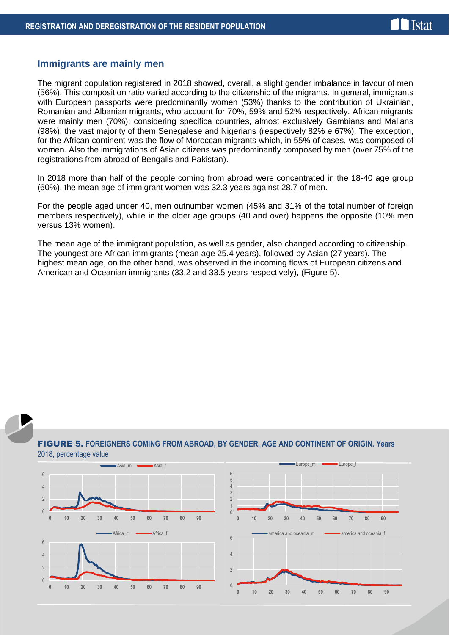#### **Immigrants are mainly men**

The migrant population registered in 2018 showed, overall, a slight gender imbalance in favour of men (56%). This composition ratio varied according to the citizenship of the migrants. In general, immigrants with European passports were predominantly women (53%) thanks to the contribution of Ukrainian, Romanian and Albanian migrants, who account for 70%, 59% and 52% respectively. African migrants were mainly men (70%): considering specifica countries, almost exclusively Gambians and Malians (98%), the vast majority of them Senegalese and Nigerians (respectively 82% e 67%). The exception, for the African continent was the flow of Moroccan migrants which, in 55% of cases, was composed of women. Also the immigrations of Asian citizens was predominantly composed by men (over 75% of the registrations from abroad of Bengalis and Pakistan).

In 2018 more than half of the people coming from abroad were concentrated in the 18-40 age group (60%), the mean age of immigrant women was 32.3 years against 28.7 of men.

For the people aged under 40, men outnumber women (45% and 31% of the total number of foreign members respectively), while in the older age groups (40 and over) happens the opposite (10% men versus 13% women).

The mean age of the immigrant population, as well as gender, also changed according to citizenship. The youngest are African immigrants (mean age 25.4 years), followed by Asian (27 years). The highest mean age, on the other hand, was observed in the incoming flows of European citizens and American and Oceanian immigrants (33.2 and 33.5 years respectively), (Figure 5).



#### FIGURE 5. **FOREIGNERS COMING FROM ABROAD, BY GENDER, AGE AND CONTINENT OF ORIGIN. Years** 2018, percentage value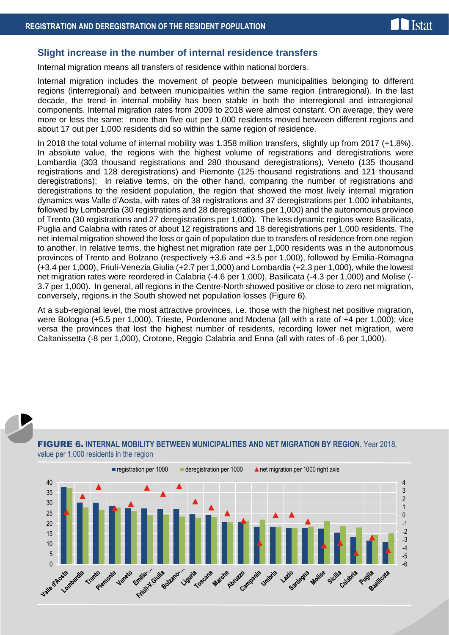### **Slight increase in the number of internal residence transfers**

Internal migration means all transfers of residence within national borders.

Internal migration includes the movement of people between municipalities belonging to different regions (interregional) and between municipalities within the same region (intraregional). In the last decade, the trend in internal mobility has been stable in both the interregional and intraregional components. Internal migration rates from 2009 to 2018 were almost constant. On average, they were more or less the same: more than five out per 1,000 residents moved between different regions and about 17 out per 1,000 residents did so within the same region of residence.

In 2018 the total volume of internal mobility was 1.358 million transfers, slightly up from 2017 (+1.8%). In absolute value, the regions with the highest volume of registrations and deregistrations were Lombardia (303 thousand registrations and 280 thousand deregistrations), Veneto (135 thousand registrations and 128 deregistrations) and Piemonte (125 thousand registrations and 121 thousand deregistrations); In relative terms, on the other hand, comparing the number of registrations and deregistrations to the resident population, the region that showed the most lively internal migration dynamics was Valle d'Aosta, with rates of 38 registrations and 37 deregistrations per 1,000 inhabitants, followed by Lombardia (30 registrations and 28 deregistrations per 1,000) and the autonomous province of Trento (30 registrations and 27 deregistrations per 1,000). The less dynamic regions were Basilicata, Puglia and Calabria with rates of about 12 registrations and 18 deregistrations per 1,000 residents. The net internal migration showed the loss or gain of population due to transfers of residence from one region to another. In relative terms, the highest net migration rate per 1,000 residents was in the autonomous provinces of Trento and Bolzano (respectively +3.6 and +3.5 per 1,000), followed by Emilia-Romagna (+3.4 per 1,000), Friuli-Venezia Giulia (+2.7 per 1,000) and Lombardia (+2.3 per 1,000), while the lowest net migration rates were reordered in Calabria (-4.6 per 1,000), Basilicata (-4.3 per 1,000) and Molise (- 3.7 per 1,000). In general, all regions in the Centre-North showed positive or close to zero net migration, conversely, regions in the South showed net population losses (Figure 6).

At a sub-regional level, the most attractive provinces, i.e. those with the highest net positive migration, were Bologna (+5.5 per 1,000), Trieste, Pordenone and Modena (all with a rate of +4 per 1,000); vice versa the provinces that lost the highest number of residents, recording lower net migration, were Caltanissetta (-8 per 1,000), Crotone, Reggio Calabria and Enna (all with rates of -6 per 1,000).



#### FIGURE 6. **INTERNAL MOBILITY BETWEEN MUNICIPALITIES AND NET MIGRATION BY REGION.** Year 2018, value per 1,000 residents in the region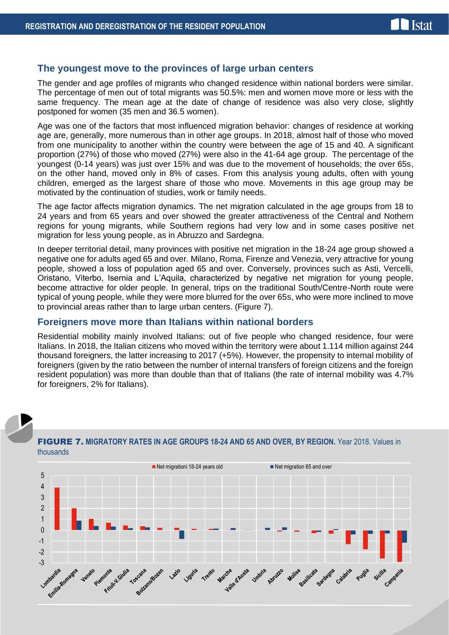#### **The youngest move to the provinces of large urban centers**

The gender and age profiles of migrants who changed residence within national borders were similar. The percentage of men out of total migrants was 50.5%: men and women move more or less with the same frequency. The mean age at the date of change of residence was also very close, slightly postponed for women (35 men and 36.5 women).

Age was one of the factors that most influenced migration behavior: changes of residence at working age are, generally, more numerous than in other age groups. In 2018, almost half of those who moved from one municipality to another within the country were between the age of 15 and 40. A significant proportion (27%) of those who moved (27%) were also in the 41-64 age group. The percentage of the youngest (0-14 years) was just over 15% and was due to the movement of households; the over 65s, on the other hand, moved only in 8% of cases. From this analysis young adults, often with young children, emerged as the largest share of those who move. Movements in this age group may be motivated by the continuation of studies, work or family needs.

The age factor affects migration dynamics. The net migration calculated in the age groups from 18 to 24 years and from 65 years and over showed the greater attractiveness of the Central and Nothern regions for young migrants, while Southern regions had very low and in some cases positive net migration for less young people, as in Abruzzo and Sardegna.

In deeper territorial detail, many provinces with positive net migration in the 18-24 age group showed a negative one for adults aged 65 and over. Milano, Roma, Firenze and Venezia, very attractive for young people, showed a loss of population aged 65 and over. Conversely, provinces such as Asti, Vercelli, Oristano, Viterbo, Isernia and L'Aquila, characterized by negative net migration for young people, become attractive for older people. In general, trips on the traditional South/Centre-North route were typical of young people, while they were more blurred for the over 65s, who were more inclined to move to provincial areas rather than to large urban centers. (Figure 7).

#### **Foreigners move more than Italians within national borders**

Residential mobility mainly involved Italians: out of five people who changed residence, four were Italians. In 2018, the Italian citizens who moved within the territory were about 1.114 million against 244 thousand foreigners, the latter increasing to 2017 (+5%). However, the propensity to internal mobility of foreigners (given by the ratio between the number of internal transfers of foreign citizens and the foreign resident population) was more than double than that of Italians (the rate of internal mobility was 4.7% for foreigners, 2% for Italians).



#### FIGURE 7. **MIGRATORY RATES IN AGE GROUPS 18-24 AND 65 AND OVER, BY REGION.** Year 2018. Values in thousands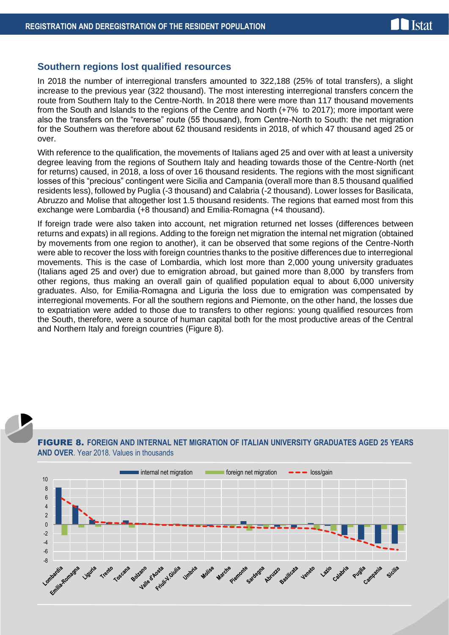#### **Southern regions lost qualified resources**

In 2018 the number of interregional transfers amounted to 322,188 (25% of total transfers), a slight increase to the previous year (322 thousand). The most interesting interregional transfers concern the route from Southern Italy to the Centre-North. In 2018 there were more than 117 thousand movements from the South and Islands to the regions of the Centre and North (+7% to 2017); more important were also the transfers on the "reverse" route (55 thousand), from Centre-North to South: the net migration for the Southern was therefore about 62 thousand residents in 2018, of which 47 thousand aged 25 or over.

With reference to the qualification, the movements of Italians aged 25 and over with at least a university degree leaving from the regions of Southern Italy and heading towards those of the Centre-North (net for returns) caused, in 2018, a loss of over 16 thousand residents. The regions with the most significant losses of this "precious" contingent were Sicilia and Campania (overall more than 8.5 thousand qualified residents less), followed by Puglia (-3 thousand) and Calabria (-2 thousand). Lower losses for Basilicata, Abruzzo and Molise that altogether lost 1.5 thousand residents. The regions that earned most from this exchange were Lombardia (+8 thousand) and Emilia-Romagna (+4 thousand).

If foreign trade were also taken into account, net migration returned net losses (differences between returns and expats) in all regions. Adding to the foreign net migration the internal net migration (obtained by movements from one region to another), it can be observed that some regions of the Centre-North were able to recover the loss with foreign countries thanks to the positive differences due to interregional movements. This is the case of Lombardia, which lost more than 2,000 young university graduates (Italians aged 25 and over) due to emigration abroad, but gained more than 8,000 by transfers from other regions, thus making an overall gain of qualified population equal to about 6,000 university graduates. Also, for Emilia-Romagna and Liguria the loss due to emigration was compensated by interregional movements. For all the southern regions and Piemonte, on the other hand, the losses due to expatriation were added to those due to transfers to other regions: young qualified resources from the South, therefore, were a source of human capital both for the most productive areas of the Central and Northern Italy and foreign countries (Figure 8).

#### FIGURE 8. **FOREIGN AND INTERNAL NET MIGRATION OF ITALIAN UNIVERSITY GRADUATES AGED 25 YEARS AND OVER**. Year 2018. Values in thousands

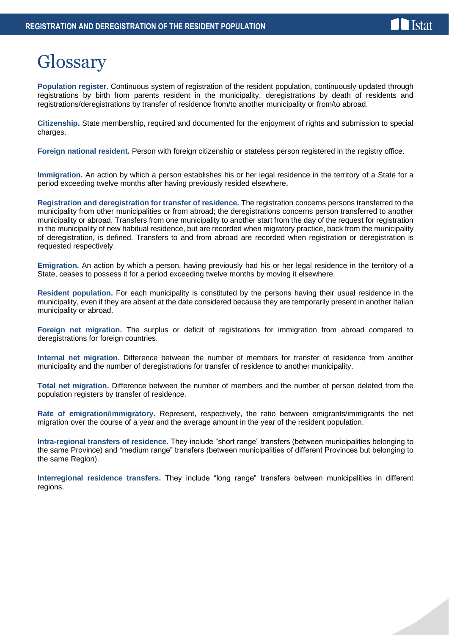### **I**stat

## **Glossary**

**Population register.** Continuous system of registration of the resident population, continuously updated through registrations by birth from parents resident in the municipality, deregistrations by death of residents and registrations/deregistrations by transfer of residence from/to another municipality or from/to abroad.

**Citizenship.** State membership, required and documented for the enjoyment of rights and submission to special charges.

**Foreign national resident.** Person with foreign citizenship or stateless person registered in the registry office.

**Immigration.** An action by which a person establishes his or her legal residence in the territory of a State for a period exceeding twelve months after having previously resided elsewhere**.**

**Registration and deregistration for transfer of residence.** The registration concerns persons transferred to the municipality from other municipalities or from abroad; the deregistrations concerns person transferred to another municipality or abroad. Transfers from one municipality to another start from the day of the request for registration in the municipality of new habitual residence, but are recorded when migratory practice, back from the municipality of deregistration, is defined. Transfers to and from abroad are recorded when registration or deregistration is requested respectively.

**Emigration.** An action by which a person, having previously had his or her legal residence in the territory of a State, ceases to possess it for a period exceeding twelve months by moving it elsewhere.

**Resident population.** For each municipality is constituted by the persons having their usual residence in the municipality, even if they are absent at the date considered because they are temporarily present in another Italian municipality or abroad.

**Foreign net migration.** The surplus or deficit of registrations for immigration from abroad compared to deregistrations for foreign countries.

**Internal net migration.** Difference between the number of members for transfer of residence from another municipality and the number of deregistrations for transfer of residence to another municipality.

**Total net migration.** Difference between the number of members and the number of person deleted from the population registers by transfer of residence.

**Rate of emigration/immigratory.** Represent, respectively, the ratio between emigrants/immigrants the net migration over the course of a year and the average amount in the year of the resident population.

**Intra-regional transfers of residence.** They include "short range" transfers (between municipalities belonging to the same Province) and "medium range" transfers (between municipalities of different Provinces but belonging to the same Region).

**Interregional residence transfers.** They include "long range" transfers between municipalities in different regions.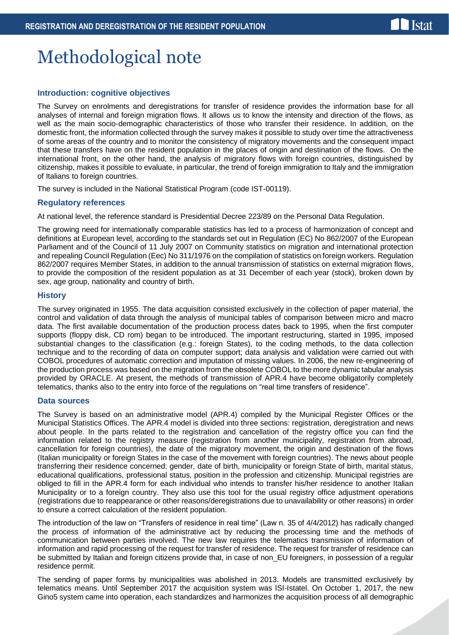## Methodological note

#### **Introduction: cognitive objectives**

The Survey on enrolments and deregistrations for transfer of residence provides the information base for all analyses of internal and foreign migration flows. It allows us to know the intensity and direction of the flows, as well as the main socio-demographic characteristics of those who transfer their residence. In addition, on the domestic front, the information collected through the survey makes it possible to study over time the attractiveness of some areas of the country and to monitor the consistency of migratory movements and the consequent impact that these transfers have on the resident population in the places of origin and destination of the flows. On the international front, on the other hand, the analysis of migratory flows with foreign countries, distinguished by citizenship, makes it possible to evaluate, in particular, the trend of foreign immigration to Italy and the immigration of Italians to foreign countries.

The survey is included in the National Statistical Program (code IST-00119).

#### **Regulatory references**

At national level, the reference standard is Presidential Decree 223/89 on the Personal Data Regulation.

The growing need for internationally comparable statistics has led to a process of harmonization of concept and definitions at European level, according to the standards set out in Regulation (EC) No 862/2007 of the European Parliament and of the Council of 11 July 2007 on Community statistics on migration and international protection and repealing Council Regulation (Eec) No 311/1976 on the compilation of statistics on foreign workers. Regulation 862/2007 requires Member States, in addition to the annual transmission of statistics on external migration flows, to provide the composition of the resident population as at 31 December of each year (stock), broken down by sex, age group, nationality and country of birth.

#### **History**

The survey originated in 1955. The data acquisition consisted exclusively in the collection of paper material, the control and validation of data through the analysis of municipal tables of comparison between micro and macro data. The first available documentation of the production process dates back to 1995, when the first computer supports (floppy disk, CD rom) began to be introduced. The important restructuring, started in 1995, imposed substantial changes to the classification (e.g.: foreign States), to the coding methods, to the data collection technique and to the recording of data on computer support; data analysis and validation were carried out with COBOL procedures of automatic correction and imputation of missing values. In 2006, the new re-engineering of the production process was based on the migration from the obsolete COBOL to the more dynamic tabular analysis provided by ORACLE. At present, the methods of transmission of APR.4 have become obligatorily completely telematics, thanks also to the entry into force of the regulations on "real time transfers of residence".

#### **Data sources**

The Survey is based on an administrative model (APR.4) compiled by the Municipal Register Offices or the Municipal Statistics Offices. The APR.4 model is divided into three sections: registration, deregistration and news about people. In the parts related to the registration and cancellation of the registry office you can find the information related to the registry measure (registration from another municipality, registration from abroad, cancellation for foreign countries), the date of the migratory movement, the origin and destination of the flows (Italian municipality or foreign States in the case of the movement with foreign countries). The news about people transferring their residence concerned: gender, date of birth, municipality or foreign State of birth, marital status, educational qualifications, professional status, position in the profession and citizenship. Municipal registries are obliged to fill in the APR.4 form for each individual who intends to transfer his/her residence to another Italian Municipality or to a foreign country. They also use this tool for the usual registry office adjustment operations (registrations due to reappearance or other reasons/deregistrations due to unavailability or other reasons) in order to ensure a correct calculation of the resident population.

The introduction of the law on "Transfers of residence in real time" (Law n. 35 of 4/4/2012) has radically changed the process of information of the administrative act by reducing the processing time and the methods of communication between parties involved. The new law requires the telematics transmission of information of information and rapid processing of the request for transfer of residence. The request for transfer of residence can be submitted by Italian and foreign citizens provide that, in case of non EU foreigners, in possession of a regular residence permit.

The sending of paper forms by municipalities was abolished in 2013. Models are transmitted exclusively by telematics means. Until September 2017 the acquisition system was ISI-Istatel. On October 1, 2017, the new Gino5 system came into operation, each standardizes and harmonizes the acquisition process of all demographic